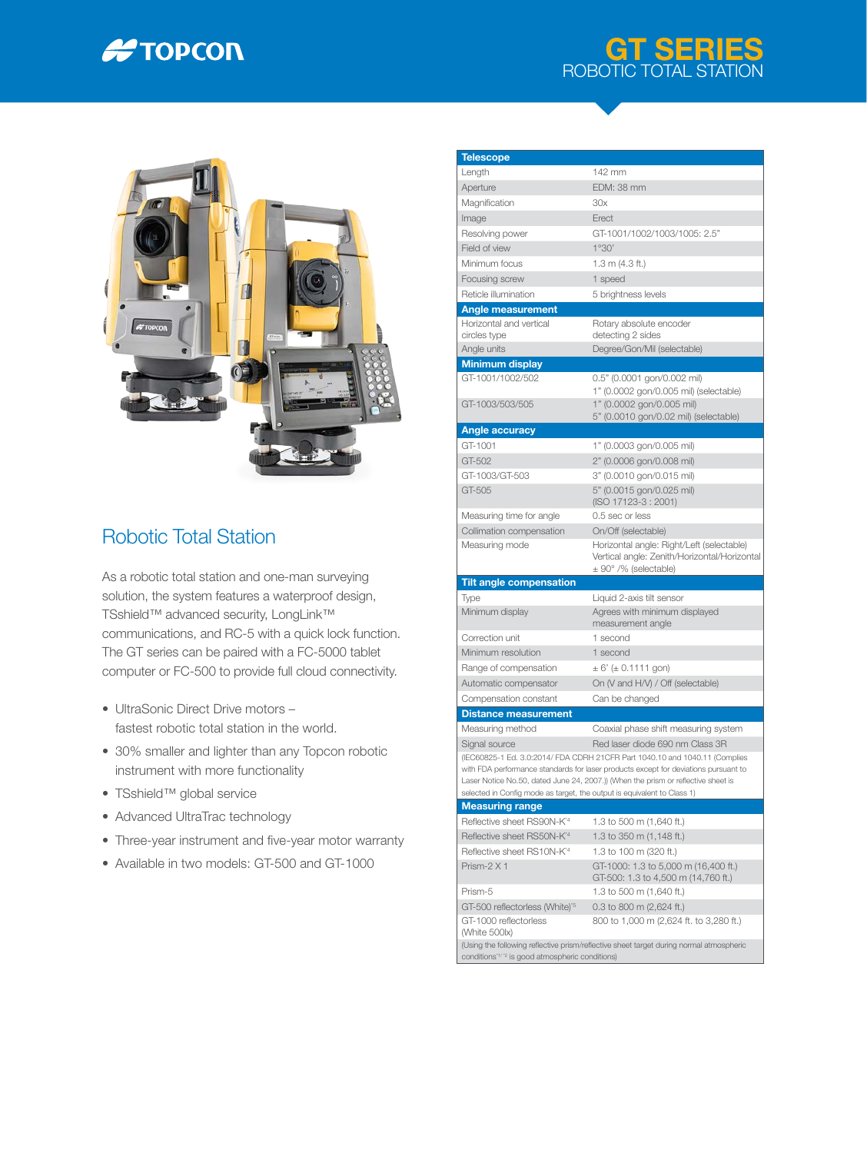

## GT SERIES ROBOTIC TOTAL STATION



## Robotic Total Station

As a robotic total station and one-man surveying solution, the system features a waterproof design, TSshield™ advanced security, LongLink™ communications, and RC-5 with a quick lock function. The GT series can be paired with a FC-5000 tablet computer or FC-500 to provide full cloud connectivity.

- UltraSonic Direct Drive motors fastest robotic total station in the world.
- 30% smaller and lighter than any Topcon robotic instrument with more functionality
- TSshield™ global service
- Advanced UltraTrac technology
- Three-year instrument and five-year motor warranty
- Available in two models: GT-500 and GT-1000

| <b>Telescope</b><br>Length                                              | 142 mm                                                                                                                                                             |
|-------------------------------------------------------------------------|--------------------------------------------------------------------------------------------------------------------------------------------------------------------|
| Aperture                                                                | EDM: 38 mm                                                                                                                                                         |
|                                                                         |                                                                                                                                                                    |
| Magnification                                                           | 30x                                                                                                                                                                |
| Image                                                                   | Erect                                                                                                                                                              |
| Resolving power                                                         | GT-1001/1002/1003/1005: 2.5"                                                                                                                                       |
| Field of view                                                           | 1°30'                                                                                                                                                              |
| Minimum focus                                                           | 1.3 m (4.3 ft.)                                                                                                                                                    |
| Focusing screw                                                          | 1 speed                                                                                                                                                            |
| Reticle illumination                                                    | 5 brightness levels                                                                                                                                                |
| <b>Angle measurement</b>                                                |                                                                                                                                                                    |
| Horizontal and vertical                                                 | Rotary absolute encoder                                                                                                                                            |
| circles type<br>Angle units                                             | detecting 2 sides<br>Degree/Gon/Mil (selectable)                                                                                                                   |
|                                                                         |                                                                                                                                                                    |
| <b>Minimum display</b><br>GT-1001/1002/502                              | 0.5" (0.0001 gon/0.002 mil)                                                                                                                                        |
|                                                                         | 1" (0.0002 gon/0.005 mil) (selectable)                                                                                                                             |
| GT-1003/503/505                                                         | 1" (0.0002 gon/0.005 mil)                                                                                                                                          |
|                                                                         | 5" (0.0010 gon/0.02 mil) (selectable)                                                                                                                              |
| <b>Angle accuracy</b>                                                   |                                                                                                                                                                    |
| GT-1001                                                                 | 1" (0.0003 gon/0.005 mil)                                                                                                                                          |
| GT-502                                                                  | 2" (0.0006 gon/0.008 mil)                                                                                                                                          |
| GT-1003/GT-503                                                          | 3" (0.0010 gon/0.015 mil)                                                                                                                                          |
| GT-505                                                                  | 5" (0.0015 gon/0.025 mil)                                                                                                                                          |
|                                                                         | (ISO 17123-3: 2001)                                                                                                                                                |
| Measuring time for angle                                                | 0.5 sec or less                                                                                                                                                    |
| Collimation compensation                                                | On/Off (selectable)                                                                                                                                                |
| Measuring mode                                                          | Horizontal angle: Right/Left (selectable)                                                                                                                          |
|                                                                         |                                                                                                                                                                    |
|                                                                         | Vertical angle: Zenith/Horizontal/Horizontal                                                                                                                       |
|                                                                         | $\pm$ 90° /% (selectable)                                                                                                                                          |
| <b>Tilt angle compensation</b>                                          |                                                                                                                                                                    |
| Type                                                                    | Liquid 2-axis tilt sensor                                                                                                                                          |
| Minimum display                                                         | Agrees with minimum displayed<br>measurement angle                                                                                                                 |
| Correction unit                                                         | 1 second                                                                                                                                                           |
| Minimum resolution                                                      | 1 second                                                                                                                                                           |
| Range of compensation                                                   | $\pm 6'$ ( $\pm 0.1111$ gon)                                                                                                                                       |
| Automatic compensator                                                   | On (V and H/V) / Off (selectable)                                                                                                                                  |
|                                                                         |                                                                                                                                                                    |
| Compensation constant                                                   | Can be changed                                                                                                                                                     |
| <b>Distance measurement</b>                                             |                                                                                                                                                                    |
| Measuring method                                                        | Coaxial phase shift measuring system                                                                                                                               |
| Signal source                                                           | Red laser diode 690 nm Class 3R                                                                                                                                    |
|                                                                         | (IEC60825-1 Ed. 3.0:2014/ FDA CDRH 21CFR Part 1040.10 and 1040.11 (Complies<br>with FDA performance standards for laser products except for deviations pursuant to |
|                                                                         | Laser Notice No.50, dated June 24, 2007.)) (When the prism or reflective sheet is                                                                                  |
| selected in Config mode as target, the output is equivalent to Class 1) |                                                                                                                                                                    |
| <b>Measuring range</b>                                                  |                                                                                                                                                                    |
| Reflective sheet RS90N-K <sup>*4</sup>                                  | 1.3 to 500 m (1,640 ft.)                                                                                                                                           |
| Reflective sheet RS50N-K <sup>*4</sup>                                  | 1.3 to 350 m (1,148 ft.)                                                                                                                                           |
| Reflective sheet RS10N-K <sup>*4</sup>                                  | 1.3 to 100 m (320 ft.)                                                                                                                                             |
| Prism-2 X 1                                                             | GT-1000: 1.3 to 5,000 m (16,400 ft.)                                                                                                                               |
|                                                                         | GT-500: 1.3 to 4,500 m (14,760 ft.)                                                                                                                                |
| Prism-5                                                                 | 1.3 to 500 m (1,640 ft.)                                                                                                                                           |
| GT-500 reflectorless (White)' <sup>5</sup>                              | 0.3 to 800 m (2,624 ft.)                                                                                                                                           |
| GT-1000 reflectorless                                                   | 800 to 1,000 m (2,624 ft. to 3,280 ft.)                                                                                                                            |
| (White 500lx)                                                           | (Using the following reflective prism/reflective sheet target during normal atmospheric                                                                            |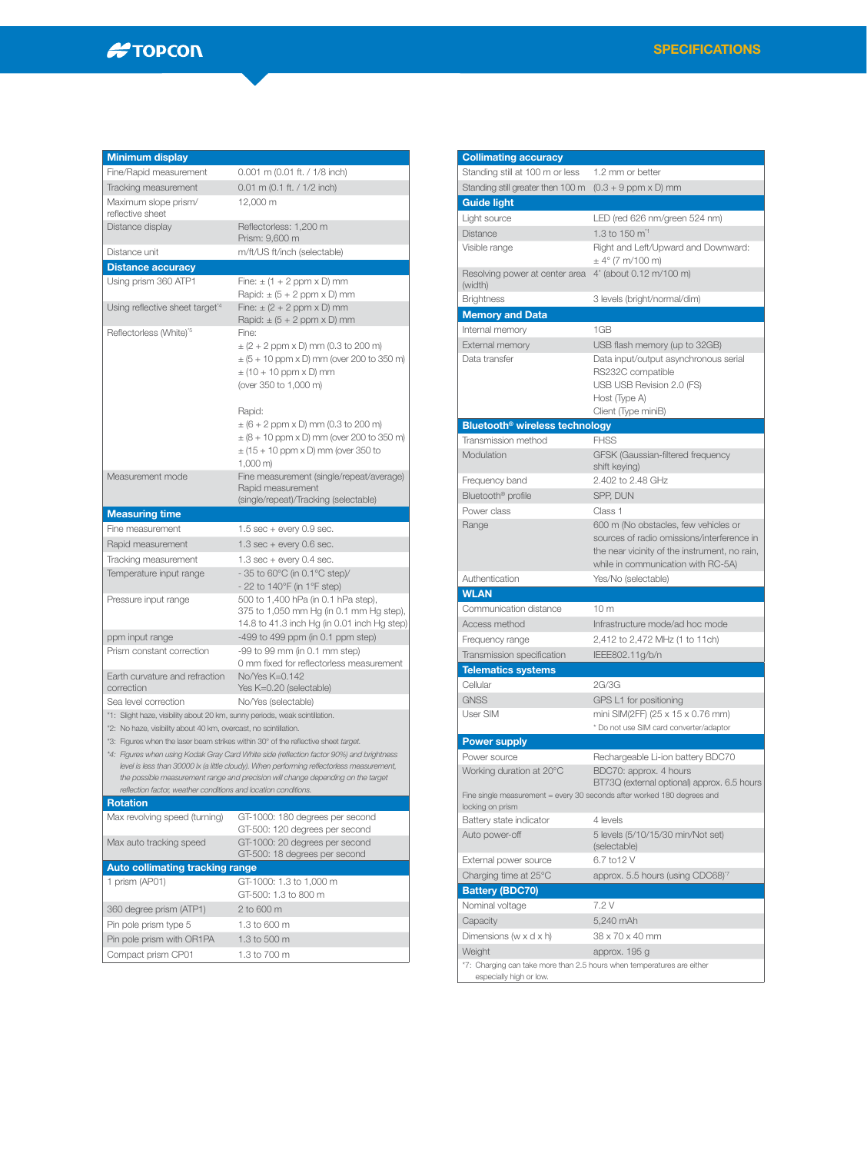## $H$ TOPCON

| <b>Minimum display</b>                                                      |                                                                                                                                                                                       |
|-----------------------------------------------------------------------------|---------------------------------------------------------------------------------------------------------------------------------------------------------------------------------------|
| Fine/Rapid measurement                                                      | 0.001 m (0.01 ft. / 1/8 inch)                                                                                                                                                         |
| Tracking measurement                                                        | $0.01$ m $(0.1$ ft. $/ 1/2$ inch)                                                                                                                                                     |
| Maximum slope prism/<br>reflective sheet                                    | 12,000 m                                                                                                                                                                              |
| Distance display                                                            | Reflectorless: 1,200 m<br>Prism: 9,600 m                                                                                                                                              |
| Distance unit                                                               | m/ft/US ft/inch (selectable)                                                                                                                                                          |
| <b>Distance accuracy</b>                                                    |                                                                                                                                                                                       |
| Using prism 360 ATP1                                                        | Fine: $\pm$ (1 + 2 ppm x D) mm<br>Rapid: $\pm$ (5 + 2 ppm x D) mm                                                                                                                     |
| Using reflective sheet target <sup>*4</sup>                                 | Fine: $\pm$ (2 + 2 ppm x D) mm<br>Rapid: $\pm$ (5 + 2 ppm x D) mm                                                                                                                     |
| Reflectorless (White)'5                                                     | Fine:                                                                                                                                                                                 |
|                                                                             | $\pm$ (2 + 2 ppm x D) mm (0.3 to 200 m)                                                                                                                                               |
|                                                                             | $\pm$ (5 + 10 ppm x D) mm (over 200 to 350 m)                                                                                                                                         |
|                                                                             | $\pm$ (10 + 10 ppm x D) mm                                                                                                                                                            |
|                                                                             | (over 350 to 1,000 m)                                                                                                                                                                 |
|                                                                             |                                                                                                                                                                                       |
|                                                                             | Rapid:                                                                                                                                                                                |
|                                                                             | $\pm$ (6 + 2 ppm x D) mm (0.3 to 200 m)<br>$\pm (8 + 10$ ppm x D) mm (over 200 to 350 m)                                                                                              |
|                                                                             | $\pm$ (15 + 10 ppm x D) mm (over 350 to                                                                                                                                               |
|                                                                             | $1,000 \, \text{m}$                                                                                                                                                                   |
| Measurement mode                                                            | Fine measurement (single/repeat/average)                                                                                                                                              |
|                                                                             | Rapid measurement                                                                                                                                                                     |
|                                                                             | (single/repeat)/Tracking (selectable)                                                                                                                                                 |
| <b>Measuring time</b>                                                       |                                                                                                                                                                                       |
| Fine measurement                                                            | $1.5$ sec + every 0.9 sec.                                                                                                                                                            |
| Rapid measurement                                                           | $1.3$ sec + every 0.6 sec.                                                                                                                                                            |
| Tracking measurement                                                        | $1.3$ sec + every 0.4 sec.                                                                                                                                                            |
| Temperature input range                                                     | - 35 to 60 $^{\circ}$ C (in 0.1 $^{\circ}$ C step)/<br>- 22 to 140°F (in 1°F step)                                                                                                    |
| Pressure input range                                                        | 500 to 1,400 hPa (in 0.1 hPa step),<br>375 to 1,050 mm Hg (in 0.1 mm Hg step),<br>14.8 to 41.3 inch Hg (in 0.01 inch Hg step)                                                         |
| ppm input range                                                             | $-499$ to $499$ ppm (in 0.1 ppm step)                                                                                                                                                 |
| Prism constant correction                                                   | -99 to 99 mm (in 0.1 mm step)                                                                                                                                                         |
|                                                                             | 0 mm fixed for reflectorless measurement                                                                                                                                              |
| Earth curvature and refraction<br>correction                                | No/Yes K=0.142<br>Yes K=0.20 (selectable)                                                                                                                                             |
| Sea level correction                                                        | No/Yes (selectable)                                                                                                                                                                   |
| *1: Slight haze, visibility about 20 km, sunny periods, weak scintillation. |                                                                                                                                                                                       |
| *2: No haze, visibility about 40 km, overcast, no scintillation.            |                                                                                                                                                                                       |
|                                                                             | *3: Figures when the laser beam strikes within 30° of the reflective sheet target.                                                                                                    |
|                                                                             | *4: Figures when using Kodak Gray Card White side (reflection factor 90%) and brightness<br>level is less than 30000 lx (a little cloudy). When performing reflectorless measurement, |
|                                                                             | the possible measurement range and precision will change depending on the target                                                                                                      |
| reflection factor, weather conditions and location conditions.              |                                                                                                                                                                                       |
| <b>Rotation</b>                                                             |                                                                                                                                                                                       |
| Max revolving speed (turning)                                               | GT-1000: 180 degrees per second<br>GT-500: 120 degrees per second                                                                                                                     |
| Max auto tracking speed                                                     | GT-1000: 20 degrees per second<br>GT-500: 18 degrees per second                                                                                                                       |
| <b>Auto collimating tracking range</b>                                      |                                                                                                                                                                                       |
| 1 prism (AP01)                                                              | GT-1000: 1.3 to 1,000 m                                                                                                                                                               |
|                                                                             | GT-500: 1.3 to 800 m                                                                                                                                                                  |
| 360 degree prism (ATP1)                                                     | 2 to 600 m                                                                                                                                                                            |
| Pin pole prism type 5                                                       | 1.3 to 600 m                                                                                                                                                                          |
| Pin pole prism with OR1PA                                                   | 1.3 to 500 m                                                                                                                                                                          |
| Compact prism CP01                                                          | 1.3 to 700 m                                                                                                                                                                          |
|                                                                             |                                                                                                                                                                                       |

| <b>Collimating accuracy</b>                                            |                                                                                     |
|------------------------------------------------------------------------|-------------------------------------------------------------------------------------|
| Standing still at 100 m or less                                        | 1.2 mm or better                                                                    |
| Standing still greater then 100 m                                      | $(0.3 + 9$ ppm $\times$ D) mm                                                       |
| <b>Guide light</b>                                                     |                                                                                     |
| Light source                                                           | LED (red 626 nm/green 524 nm)                                                       |
| Distance                                                               | 1.3 to 150 m <sup>*1</sup>                                                          |
| Visible range                                                          | Right and Left/Upward and Downward:                                                 |
|                                                                        | $\pm 4^{\circ}$ (7 m/100 m)                                                         |
| Resolving power at center area                                         | 4' (about 0.12 m/100 m)                                                             |
| (width)                                                                |                                                                                     |
| <b>Brightness</b>                                                      | 3 levels (bright/normal/dim)                                                        |
| Memory and Data                                                        |                                                                                     |
| Internal memory                                                        | 1GB                                                                                 |
| External memory                                                        | USB flash memory (up to 32GB)                                                       |
| Data transfer                                                          | Data input/output asynchronous serial<br>RS232C compatible                          |
|                                                                        | USB USB Revision 2.0 (FS)                                                           |
|                                                                        | Host (Type A)                                                                       |
|                                                                        | Client (Type miniB)                                                                 |
| Bluetooth <sup>®</sup> wireless technology                             |                                                                                     |
| Transmission method                                                    | <b>FHSS</b>                                                                         |
| Modulation                                                             | GFSK (Gaussian-filtered frequency<br>shift keying)                                  |
| Frequency band                                                         | 2.402 to 2.48 GHz                                                                   |
| Bluetooth <sup>®</sup> profile                                         | SPP, DUN                                                                            |
| Power class                                                            | Class 1                                                                             |
| Range                                                                  | 600 m (No obstacles, few vehicles or                                                |
|                                                                        | sources of radio omissions/interference in                                          |
|                                                                        | the near vicinity of the instrument, no rain,<br>while in communication with RC-5A) |
| Authentication                                                         | Yes/No (selectable)                                                                 |
| <b>WLAN</b>                                                            |                                                                                     |
| Communication distance                                                 | 10 <sub>m</sub>                                                                     |
| Access method                                                          | Infrastructure mode/ad hoc mode                                                     |
| Frequency range                                                        | 2,412 to 2,472 MHz (1 to 11ch)                                                      |
| Transmission specification                                             | IEEE802.11g/b/n                                                                     |
| <b>Telematics systems</b>                                              |                                                                                     |
| Cellular                                                               | 2G/3G                                                                               |
| <b>GNSS</b>                                                            | GPS L1 for positioning                                                              |
| User SIM                                                               | mini SIM(2FF) (25 x 15 x 0.76 mm)                                                   |
|                                                                        | * Do not use SIM card converter/adaptor                                             |
| <b>Power supply</b>                                                    |                                                                                     |
| Power source                                                           | Rechargeable Li-ion battery BDC70                                                   |
| Working duration at 20°C                                               | BDC70: approx. 4 hours                                                              |
|                                                                        | BT73Q (external optional) approx. 6.5 hours                                         |
|                                                                        | Fine single measurement = every 30 seconds after worked 180 degrees and             |
| locking on prism                                                       |                                                                                     |
| Battery state indicator<br>Auto power-off                              | 4 levels<br>5 levels (5/10/15/30 min/Not set)                                       |
|                                                                        | (selectable)                                                                        |
| External power source                                                  | 6.7 to 12 V                                                                         |
| Charging time at 25°C                                                  | approx. 5.5 hours (using CDC68) <sup>7</sup>                                        |
| <b>Battery (BDC70)</b>                                                 |                                                                                     |
| Nominal voltage                                                        | 7.2 V                                                                               |
| Capacity                                                               | 5,240 mAh                                                                           |
| Dimensions (w $\times$ d $\times$ h)                                   | 38 x 70 x 40 mm                                                                     |
| Weight                                                                 | approx. 195 g                                                                       |
|                                                                        |                                                                                     |
| *7: Charging can take more than 2.5 hours when temperatures are either |                                                                                     |